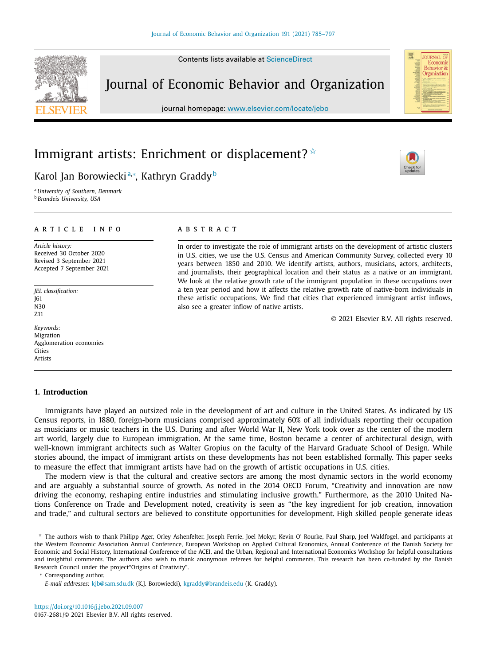Contents lists available at [ScienceDirect](http://www.ScienceDirect.com)

# Journal of Economic Behavior and Organization

journal homepage: [www.elsevier.com/locate/jebo](http://www.elsevier.com/locate/jebo)

## Immigrant artists: Enrichment or displacement?  $\dot{\mathbb{R}}$

### Karol Jan Borowieckiª,\*, Kathryn Graddy<sup>b</sup>

<sup>a</sup> *University of Southern, Denmark* <sup>b</sup> *Brandeis University, USA*

#### a r t i c l e i n f o

*Article history:* Received 30 October 2020 Revised 3 September 2021 Accepted 7 September 2021

*JEL classification:* J61 N30 Z11

*Keywords:* Migration Agglomeration economies Cities Artists

#### **1. Introduction**

a b s t r a c t

In order to investigate the role of immigrant artists on the development of artistic clusters in U.S. cities, we use the U.S. Census and American Community Survey, collected every 10 years between 1850 and 2010. We identify artists, authors, musicians, actors, architects, and journalists, their geographical location and their status as a native or an immigrant. We look at the relative growth rate of the immigrant population in these occupations over a ten year period and how it affects the relative growth rate of native-born individuals in these artistic occupations. We find that cities that experienced immigrant artist inflows, also see a greater inflow of native artists.

© 2021 Elsevier B.V. All rights reserved.

Immigrants have played an outsized role in the development of art and culture in the United States. As indicated by US Census reports, in 1880, foreign-born musicians comprised approximately 60% of all individuals reporting their occupation as musicians or music teachers in the U.S. During and after World War II, New York took over as the center of the modern art world, largely due to European immigration. At the same time, Boston became a center of architectural design, with well-known immigrant architects such as Walter Gropius on the faculty of the Harvard Graduate School of Design. While stories abound, the impact of immigrant artists on these developments has not been established formally. This paper seeks to measure the effect that immigrant artists have had on the growth of artistic occupations in U.S. cities.

The modern view is that the cultural and creative sectors are among the most dynamic sectors in the world economy and are arguably a substantial source of growth. As noted in the 2014 OECD Forum, "Creativity and innovation are now driving the economy, reshaping entire industries and stimulating inclusive growth." Furthermore, as the 2010 United Nations Conference on Trade and Development noted, creativity is seen as "the key ingredient for job creation, innovation and trade," and cultural sectors are believed to constitute opportunities for development. High skilled people generate ideas

Corresponding author.







<sup>✩</sup> The authors wish to thank Philipp Ager, Orley Ashenfelter, Joseph Ferrie, Joel Mokyr, Kevin O' Rourke, Paul Sharp, Joel Waldfogel, and participants at the Western Economic Association Annual Conference, European Workshop on Applied Cultural Economics, Annual Conference of the Danish Society for Economic and Social History, International Conference of the ACEI, and the Urban, Regional and International Economics Workshop for helpful consultations and insightful comments. The authors also wish to thank anonymous referees for helpful comments. This research has been co-funded by the Danish Research Council under the project"Origins of Creativity".

*E-mail addresses:* [kjb@sam.sdu.dk](mailto:kjb@sam.sdu.dk) (K.J. Borowiecki), [kgraddy@brandeis.edu](mailto:kgraddy@brandeis.edu) (K. Graddy).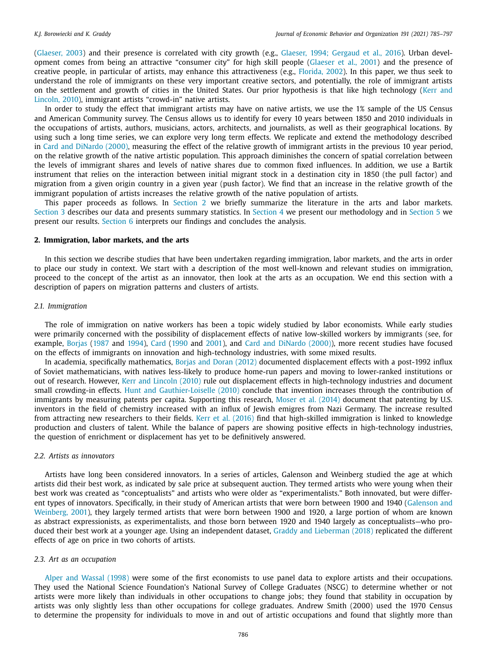[\(Glaeser,](#page-12-0) 2003) and their presence is correlated with city growth (e.g., Glaeser, 1994; [Gergaud](#page-12-0) et al., 2016). Urban development comes from being an attractive "consumer city" for high skill people [\(Glaeser](#page-12-0) et al., 2001) and the presence of creative people, in particular of artists, may enhance this attractiveness (e.g., [Florida,](#page-12-0) 2002). In this paper, we thus seek to understand the role of immigrants on these very important creative sectors, and potentially, the role of immigrant artists on the settlement and growth of cities in the United States. Our prior hypothesis is that like high technology (Kerr and Lincoln, 2010), immigrant artists ["crowd-in" native](#page-12-0) artists.

In order to study the effect that immigrant artists may have on native artists, we use the 1% sample of the US Census and American Community survey. The Census allows us to identify for every 10 years between 1850 and 2010 individuals in the occupations of artists, authors, musicians, actors, architects, and journalists, as well as their geographical locations. By using such a long time series, we can explore very long term effects. We replicate and extend the methodology described in Card and [DiNardo](#page-12-0) (2000), measuring the effect of the relative growth of immigrant artists in the previous 10 year period, on the relative growth of the native artistic population. This approach diminishes the concern of spatial correlation between the levels of immigrant shares and levels of native shares due to common fixed influences. In addition, we use a Bartik instrument that relies on the interaction between initial migrant stock in a destination city in 1850 (the pull factor) and migration from a given origin country in a given year (push factor). We find that an increase in the relative growth of the immigrant population of artists increases the relative growth of the native population of artists.

This paper proceeds as follows. In Section 2 we briefly summarize the literature in the arts and labor markets. [Section](#page-2-0) 3 describes our data and presents summary statistics. In [Section](#page-3-0) 4 we present our methodology and in [Section](#page-4-0) 5 we present our results. [Section](#page-11-0) 6 interprets our findings and concludes the analysis.

#### **2. Immigration, labor markets, and the arts**

In this section we describe studies that have been undertaken regarding immigration, labor markets, and the arts in order to place our study in context. We start with a description of the most well-known and relevant studies on immigration, proceed to the concept of the artist as an innovator, then look at the arts as an occupation. We end this section with a description of papers on migration patterns and clusters of artists.

### *2.1. Immigration*

The role of immigration on native workers has been a topic widely studied by labor economists. While early studies were primarily concerned with the possibility of displacement effects of native low-skilled workers by immigrants (see, for example, [Borjas](#page-12-0) [\(1987](#page-12-0) and [1994\)](#page-12-0), [Card](#page-12-0) [\(1990](#page-12-0) and [2001\)](#page-12-0), and Card and [DiNardo](#page-12-0) (2000)), more recent studies have focused on the effects of immigrants on innovation and high-technology industries, with some mixed results.

In academia, specifically mathematics, Borjas and Doran [\(2012\)](#page-12-0) documented displacement effects with a post-1992 influx of Soviet mathematicians, with natives less-likely to produce home-run papers and moving to lower-ranked institutions or out of research. However, Kerr and [Lincoln](#page-12-0) (2010) rule out displacement effects in high-technology industries and document small crowding-in effects. Hunt and [Gauthier-Loiselle](#page-12-0) (2010) conclude that invention increases through the contribution of immigrants by measuring patents per capita. Supporting this research, Moser et al. [\(2014\)](#page-12-0) document that patenting by U.S. inventors in the field of chemistry increased with an influx of Jewish emigres from Nazi Germany. The increase resulted from attracting new researchers to their fields. Kerr et al. [\(2016\)](#page-12-0) find that high-skilled immigration is linked to knowledge production and clusters of talent. While the balance of papers are showing positive effects in high-technology industries, the question of enrichment or displacement has yet to be definitively answered.

#### *2.2. Artists as innovators*

Artists have long been considered innovators. In a series of articles, Galenson and Weinberg studied the age at which artists did their best work, as indicated by sale price at subsequent auction. They termed artists who were young when their best work was created as "conceptualists" and artists who were older as "experimentalists." Both innovated, but were different types of innovators. [Specifically,](#page-12-0) in their study of American artists that were born between 1900 and 1940 (Galenson and Weinberg, 2001), they largely termed artists that were born between 1900 and 1920, a large portion of whom are known as abstract expressionists, as experimentalists, and those born between 1920 and 1940 largely as conceptualists—who produced their best work at a younger age. Using an independent dataset, Graddy and [Lieberman](#page-12-0) (2018) replicated the different effects of age on price in two cohorts of artists.

#### *2.3. Art as an occupation*

Alper and [Wassal](#page-12-0) (1998) were some of the first economists to use panel data to explore artists and their occupations. They used the National Science Foundation's National Survey of College Graduates (NSCG) to determine whether or not artists were more likely than individuals in other occupations to change jobs; they found that stability in occupation by artists was only slightly less than other occupations for college graduates. Andrew Smith (2000) used the 1970 Census to determine the propensity for individuals to move in and out of artistic occupations and found that slightly more than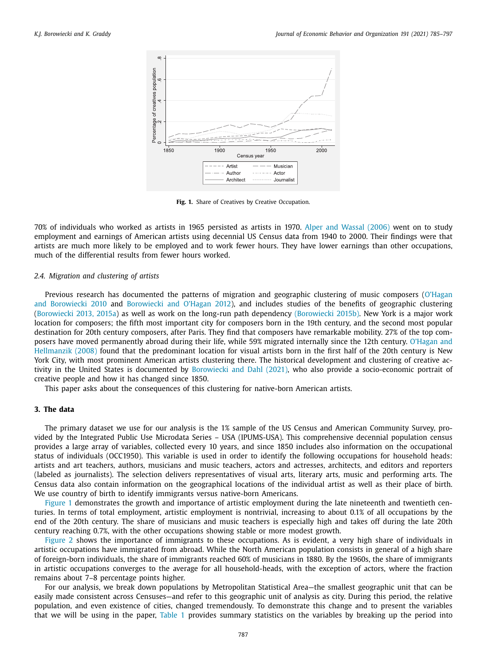<span id="page-2-0"></span>

**Fig. 1.** Share of Creatives by Creative Occupation.

70% of individuals who worked as artists in 1965 persisted as artists in 1970. Alper and [Wassal](#page-12-0) (2006) went on to study employment and earnings of American artists using decennial US Census data from 1940 to 2000. Their findings were that artists are much more likely to be employed and to work fewer hours. They have lower earnings than other occupations, much of the differential results from fewer hours worked.

#### *2.4. Migration and clustering of artists*

Previous research has [documented](#page-12-0) the patterns of migration and geographic clustering of music composers (O'Hagan and Borowiecki 2010 and [Borowiecki](#page-12-0) and O'Hagan 2012), and includes studies of the benefits of geographic clustering [\(Borowiecki](#page-12-0) 2013, 2015a) as well as work on the long-run path dependency [\(Borowiecki](#page-12-0) 2015b). New York is a major work location for composers; the fifth most important city for composers born in the 19th century, and the second most popular destination for 20th century composers, after Paris. They find that composers have remarkable mobility. 27% of the top composers have moved permanently abroad during their life, while 59% migrated internally since the 12th century. O'Hagan and Hellmanzik (2008) found that the [predominant](#page-12-0) location for visual artists born in the first half of the 20th century is New York City, with most prominent American artists clustering there. The historical development and clustering of creative activity in the United States is documented by [Borowiecki](#page-12-0) and Dahl (2021), who also provide a socio-economic portrait of creative people and how it has changed since 1850.

This paper asks about the consequences of this clustering for native-born American artists.

#### **3. The data**

The primary dataset we use for our analysis is the 1% sample of the US Census and American Community Survey, provided by the Integrated Public Use Microdata Series – USA (IPUMS-USA). This comprehensive decennial population census provides a large array of variables, collected every 10 years, and since 1850 includes also information on the occupational status of individuals (OCC1950). This variable is used in order to identify the following occupations for household heads: artists and art teachers, authors, musicians and music teachers, actors and actresses, architects, and editors and reporters (labeled as journalists). The selection delivers representatives of visual arts, literary arts, music and performing arts. The Census data also contain information on the geographical locations of the individual artist as well as their place of birth. We use country of birth to identify immigrants versus native-born Americans.

Figure 1 demonstrates the growth and importance of artistic employment during the late nineteenth and twentieth centuries. In terms of total employment, artistic employment is nontrivial, increasing to about 0.1% of all occupations by the end of the 20th century. The share of musicians and music teachers is especially high and takes off during the late 20th century reaching 0.7%, with the other occupations showing stable or more modest growth.

[Figure](#page-3-0) 2 shows the importance of immigrants to these occupations. As is evident, a very high share of individuals in artistic occupations have immigrated from abroad. While the North American population consists in general of a high share of foreign-born individuals, the share of immigrants reached 60% of musicians in 1880. By the 1960s, the share of immigrants in artistic occupations converges to the average for all household-heads, with the exception of actors, where the fraction remains about 7–8 percentage points higher.

For our analysis, we break down populations by Metropolitan Statistical Area—the smallest geographic unit that can be easily made consistent across Censuses—and refer to this geographic unit of analysis as city. During this period, the relative population, and even existence of cities, changed tremendously. To demonstrate this change and to present the variables that we will be using in the paper, [Table](#page-3-0) 1 provides summary statistics on the variables by breaking up the period into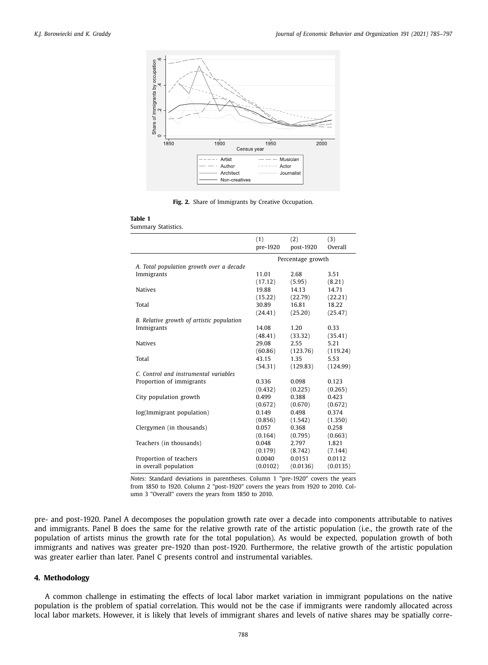<span id="page-3-0"></span>

**Fig. 2.** Share of Immigrants by Creative Occupation.

|                                           | (1)<br>pre-1920 | (2)<br>post-1920  | (3)<br>Overall |
|-------------------------------------------|-----------------|-------------------|----------------|
|                                           |                 | Percentage growth |                |
| A. Total population growth over a decade  |                 |                   |                |
| Immigrants                                | 11.01           | 2.68              | 3.51           |
|                                           | (17.12)         | (5.95)            | (8.21)         |
| <b>Natives</b>                            | 19.88           | 14.13             | 14.71          |
|                                           | (15.22)         | (22.79)           | (22.21)        |
| Total                                     | 30.89           | 16.81             | 18.22          |
|                                           | (24.41)         | (25.20)           | (25.47)        |
| B. Relative growth of artistic population |                 |                   |                |
| Immigrants                                | 14.08           | 1.20              | 0.33           |
|                                           | (48.41)         | (33.32)           | (35.41)        |
| <b>Natives</b>                            | 29.08           | 2.55              | 5.21           |
|                                           | (60.86)         | (123.76)          | (119.24)       |
| Total                                     | 43.15           | 1.35              | 5.53           |
|                                           | (54.31)         | (129.83)          | (124.99)       |
| C. Control and instrumental variables     |                 |                   |                |
| Proportion of immigrants                  | 0.336           | 0.098             | 0.123          |
|                                           | (0.432)         | (0.225)           | (0.265)        |
| City population growth                    | 0.499           | 0.388             | 0.423          |
|                                           | (0.672)         | (0.670)           | (0.672)        |
| log(Immigrant population)                 | 0.149           | 0.498             | 0.374          |
|                                           | (0.856)         | (1.542)           | (1.350)        |
| Clergymen (in thousands)                  | 0.057           | 0.368             | 0.258          |
|                                           | (0.164)         | (0.795)           | (0.663)        |
| Teachers (in thousands)                   | 0.048           | 2.797             | 1.821          |
|                                           | (0.179)         | (8.742)           | (7.144)        |
| Proportion of teachers                    | 0.0040          | 0.0151            | 0.0112         |
| in overall population                     | (0.0102)        | (0.0136)          | (0.0135)       |

*Notes:* Standard deviations in parentheses. Column 1 "pre-1920" covers the years from 1850 to 1920. Column 2 "post-1920" covers the years from 1920 to 2010. Column 3 "Overall" covers the years from 1850 to 2010.

pre- and post-1920. Panel A decomposes the population growth rate over a decade into components attributable to natives and immigrants. Panel B does the same for the relative growth rate of the artistic population (i.e., the growth rate of the population of artists minus the growth rate for the total population). As would be expected, population growth of both immigrants and natives was greater pre-1920 than post-1920. Furthermore, the relative growth of the artistic population was greater earlier than later. Panel C presents control and instrumental variables.

#### **4. Methodology**

A common challenge in estimating the effects of local labor market variation in immigrant populations on the native population is the problem of spatial correlation. This would not be the case if immigrants were randomly allocated across local labor markets. However, it is likely that levels of immigrant shares and levels of native shares may be spatially corre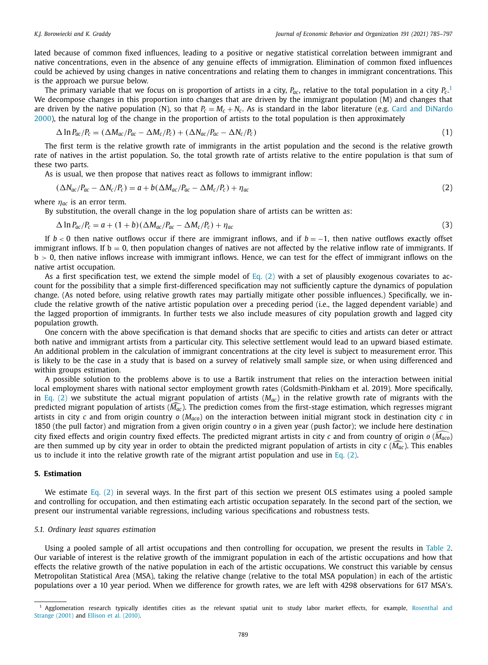<span id="page-4-0"></span>lated because of common fixed influences, leading to a positive or negative statistical correlation between immigrant and native concentrations, even in the absence of any genuine effects of immigration. Elimination of common fixed influences could be achieved by using changes in native concentrations and relating them to changes in immigrant concentrations. This is the approach we pursue below.

The primary variable that we focus on is proportion of artists in a city, *Pac*, relative to the total population in a city *Pc*. 1 We decompose changes in this proportion into changes that are driven by the immigrant population (M) and changes that are driven by the native population (N), so that  $P_c = M_c + N_c$ . As is standard in the labor literature (e.g. Card and DiNardo 2000), the natural log of the change in the proportion of artists to the total population is then [approximately](#page-12-0)

$$
\Delta \ln P_{ac}/P_c = (\Delta M_{ac}/P_{ac} - \Delta M_c/P_c) + (\Delta N_{ac}/P_{ac} - \Delta N_c/P_c)
$$
\n(1)

The first term is the relative growth rate of immigrants in the artist population and the second is the relative growth rate of natives in the artist population. So, the total growth rate of artists relative to the entire population is that sum of these two parts.

As is usual, we then propose that natives react as follows to immigrant inflow:

$$
(\Delta N_{ac}/P_{ac} - \Delta N_c/P_c) = a + b(\Delta M_{ac}/P_{ac} - \Delta M_c/P_c) + \eta_{ac}
$$
\n(2)

where  $\eta_{ac}$  is an error term.

By substitution, the overall change in the log population share of artists can be written as:

$$
\Delta \ln P_{ac}/P_c = a + (1+b)(\Delta M_{ac}/P_{ac} - \Delta M_c/P_c) + \eta_{ac}
$$
\n(3)

If  $b < 0$  then native outflows occur if there are immigrant inflows, and if  $b = -1$ , then native outflows exactly offset immigrant inflows. If  $b = 0$ , then population changes of natives are not affected by the relative inflow rate of immigrants. If  $b > 0$ , then native inflows increase with immigrant inflows. Hence, we can test for the effect of immigrant inflows on the native artist occupation.

As a first specification test, we extend the simple model of Eq.  $(2)$  with a set of plausibly exogenous covariates to account for the possibility that a simple first-differenced specification may not sufficiently capture the dynamics of population change. (As noted before, using relative growth rates may partially mitigate other possible influences.) Specifically, we include the relative growth of the native artistic population over a preceding period (i.e., the lagged dependent variable) and the lagged proportion of immigrants. In further tests we also include measures of city population growth and lagged city population growth.

One concern with the above specification is that demand shocks that are specific to cities and artists can deter or attract both native and immigrant artists from a particular city. This selective settlement would lead to an upward biased estimate. An additional problem in the calculation of immigrant concentrations at the city level is subject to measurement error. This is likely to be the case in a study that is based on a survey of relatively small sample size, or when using differenced and within groups estimation.

A possible solution to the problems above is to use a Bartik instrument that relies on the interaction between initial local employment shares with national sector employment growth rates (Goldsmith-Pinkham et al. 2019). More specifically, in Eq. (2) we substitute the actual migrant population of artists  $(M_{ac})$  in the relative growth rate of migrants with the predicted migrant population of artists (M<sub>ac</sub>). The prediction comes from the first-stage estimation, which regresses migrant artists in city *c* and from origin country *o* (*Maco*) on the interaction between initial migrant stock in destination city *c* in -1850 (the pull factor) and migration from a given origin country *o* in a given year (push factor); we include here destination city fixed effects and origin country fixed effects. The predicted migrant artists in city *c* and from country of origin *o* (*M aco*) are then summed up by city year in order to obtain the predicted migrant population of artists in city *c* (*M* -*ac*). This enables us to include it into the relative growth rate of the migrant artist population and use in Eq.  $(2)$ .

#### **5. Estimation**

We estimate Eq. (2) in several ways. In the first part of this section we present OLS estimates using a pooled sample and controlling for occupation, and then estimating each artistic occupation separately. In the second part of the section, we present our instrumental variable regressions, including various specifications and robustness tests.

#### *5.1. Ordinary least squares estimation*

Using a pooled sample of all artist occupations and then controlling for occupation, we present the results in [Table](#page-5-0) 2. Our variable of interest is the relative growth of the immigrant population in each of the artistic occupations and how that effects the relative growth of the native population in each of the artistic occupations. We construct this variable by census Metropolitan Statistical Area (MSA), taking the relative change (relative to the total MSA population) in each of the artistic populations over a 10 year period. When we difference for growth rates, we are left with 4298 observations for 617 MSA's.

<sup>&</sup>lt;sup>1</sup> [Agglomeration](#page-12-0) research typically identifies cities as the relevant spatial unit to study labor market effects, for example, Rosenthal and Strange (2001) and Ellison et al. [\(2010\).](#page-12-0)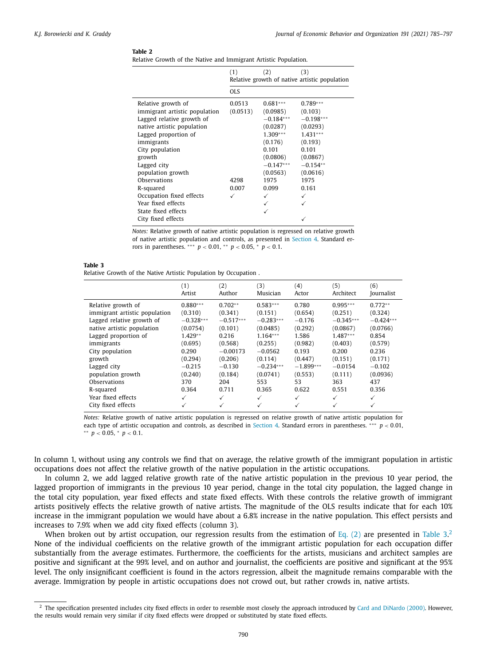<span id="page-5-0"></span>Relative Growth of the Native and Immigrant Artistic Population.

|                                                                                                                                                                                                                       | (1)                | (2)                                                                                                                        | (3)<br>Relative growth of native artistic population                                                                     |
|-----------------------------------------------------------------------------------------------------------------------------------------------------------------------------------------------------------------------|--------------------|----------------------------------------------------------------------------------------------------------------------------|--------------------------------------------------------------------------------------------------------------------------|
|                                                                                                                                                                                                                       | <b>OLS</b>         |                                                                                                                            |                                                                                                                          |
| Relative growth of<br>immigrant artistic population<br>Lagged relative growth of<br>native artistic population<br>Lagged proportion of<br>immigrants<br>City population<br>growth<br>Lagged city<br>population growth | 0.0513<br>(0.0513) | $0.681***$<br>(0.0985)<br>$-0.184***$<br>(0.0287)<br>$1.309***$<br>(0.176)<br>0.101<br>(0.0806)<br>$-0.147***$<br>(0.0563) | $0.789***$<br>(0.103)<br>$-0.198***$<br>(0.0293)<br>$1.431***$<br>(0.193)<br>0.101<br>(0.0867)<br>$-0.154**$<br>(0.0616) |
| Observations<br>R-squared                                                                                                                                                                                             | 4298<br>0.007      | 1975<br>0.099                                                                                                              | 1975<br>0.161                                                                                                            |
| Occupation fixed effects<br>Year fixed effects<br>State fixed effects<br>City fixed effects                                                                                                                           | ✓                  |                                                                                                                            |                                                                                                                          |

*Notes:* Relative growth of native artistic population is regressed on relative growth of native artistic population and controls, as presented in [Section](#page-3-0) 4. Standard errors in parentheses. ∗∗∗ *p* < 0.01, ∗ ∗ *p* < 0.05, <sup>∗</sup> *p* < 0.1.

#### **Table 3**

Relative Growth of the Native Artistic Population by Occupation .

|                               | (1)          | (2)          | (3)          | (4)          | 〔5〕          | (6)         |
|-------------------------------|--------------|--------------|--------------|--------------|--------------|-------------|
|                               | Artist       | Author       | Musician     | Actor        | Architect    | Journalist  |
| Relative growth of            | $0.880***$   | $0.702**$    | $0.583***$   | 0.780        | $0.995***$   | $0.772**$   |
| immigrant artistic population | (0.310)      | (0.341)      | (0.151)      | (0.654)      | (0.251)      | (0.324)     |
| Lagged relative growth of     | $-0.328***$  | $-0.517***$  | $-0.283***$  | $-0.176$     | $-0.345***$  | $-0.424***$ |
| native artistic population    | (0.0754)     | (0.101)      | (0.0485)     | (0.292)      | (0.0867)     | (0.0766)    |
| Lagged proportion of          | $1.429**$    | 0.216        | $1.164***$   | 1.586        | $1.487***$   | 0.854       |
| immigrants                    | (0.695)      | (0.568)      | (0.255)      | (0.982)      | (0.403)      | (0.579)     |
| City population               | 0.290        | $-0.00173$   | $-0.0562$    | 0.193        | 0.200        | 0.236       |
| growth                        | (0.294)      | (0.206)      | (0.114)      | (0.447)      | (0.151)      | (0.171)     |
| Lagged city                   | $-0.215$     | $-0.130$     | $-0.234***$  | $-1.899***$  | $-0.0154$    | $-0.102$    |
| population growth             | (0.240)      | (0.184)      | (0.0741)     | (0.553)      | (0.111)      | (0.0936)    |
| Observations                  | 370          | 204          | 553          | 53           | 363          | 437         |
| R-squared                     | 0.364        | 0.711        | 0.365        | 0.622        | 0.551        | 0.356       |
| Year fixed effects            | ✓            | $\checkmark$ | $\checkmark$ | $\checkmark$ | $\checkmark$ | ✓           |
| City fixed effects            | $\checkmark$ | $\checkmark$ | ✓            | ✓            |              | ✓           |

*Notes:* Relative growth of native artistic population is regressed on relative growth of native artistic population for each type of artistic occupation and controls, as described in [Section](#page-3-0) 4. Standard errors in parentheses. ∗∗∗ *p* < 0.01, ∗ ∗ *p* < 0.05, <sup>∗</sup> *p* < 0.1.

In column 1, without using any controls we find that on average, the relative growth of the immigrant population in artistic occupations does not affect the relative growth of the native population in the artistic occupations.

In column 2, we add lagged relative growth rate of the native artistic population in the previous 10 year period, the lagged proportion of immigrants in the previous 10 year period, change in the total city population, the lagged change in the total city population, year fixed effects and state fixed effects. With these controls the relative growth of immigrant artists positively effects the relative growth of native artists. The magnitude of the OLS results indicate that for each 10% increase in the immigrant population we would have about a 6.8% increase in the native population. This effect persists and increases to 7.9% when we add city fixed effects (column 3).

When broken out by artist occupation, our regression results from the estimation of [Eq.](#page-4-0) (2) are presented in Table 3.<sup>2</sup> None of the individual coefficients on the relative growth of the immigrant artistic population for each occupation differ substantially from the average estimates. Furthermore, the coefficients for the artists, musicians and architect samples are positive and significant at the 99% level, and on author and journalist, the coefficients are positive and significant at the 95% level. The only insignificant coefficient is found in the actors regression, albeit the magnitude remains comparable with the average. Immigration by people in artistic occupations does not crowd out, but rather crowds in, native artists.

<sup>2</sup> The specification presented includes city fixed effects in order to resemble most closely the approach introduced by Card and [DiNardo](#page-12-0) (2000). However, the results would remain very similar if city fixed effects were dropped or substituted by state fixed effects.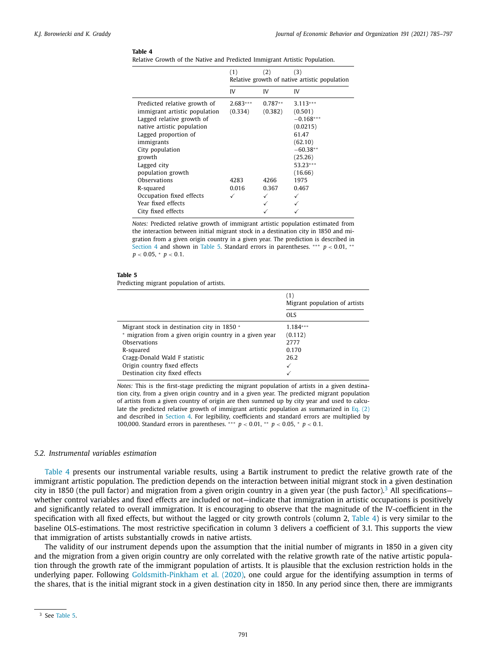<span id="page-6-0"></span>Relative Growth of the Native and Predicted Immigrant Artistic Population.

|                               | (1)                                           | (2)       | (3)         |  |  |
|-------------------------------|-----------------------------------------------|-----------|-------------|--|--|
|                               | Relative growth of native artistic population |           |             |  |  |
|                               | IV                                            | IV        | IV          |  |  |
| Predicted relative growth of  | $2.683***$                                    | $0.787**$ | $3.113***$  |  |  |
| immigrant artistic population | (0.334)                                       | (0.382)   | (0.501)     |  |  |
| Lagged relative growth of     |                                               |           | $-0.168***$ |  |  |
| native artistic population    |                                               |           | (0.0215)    |  |  |
| Lagged proportion of          |                                               |           | 61.47       |  |  |
| immigrants                    |                                               |           | (62.10)     |  |  |
| City population               |                                               |           | $-60.38**$  |  |  |
| growth                        |                                               |           | (25.26)     |  |  |
| Lagged city                   |                                               |           | 53.23***    |  |  |
| population growth             |                                               |           | (16.66)     |  |  |
| Observations                  | 4283                                          | 4266      | 1975        |  |  |
| R-squared                     | 0.016                                         | 0.367     | 0.467       |  |  |
| Occupation fixed effects      |                                               | ✓         | ✓           |  |  |
| Year fixed effects            |                                               |           |             |  |  |
| City fixed effects            |                                               |           |             |  |  |

*Notes:* Predicted relative growth of immigrant artistic population estimated from the interaction between initial migrant stock in a destination city in 1850 and migration from a given origin country in a given year. The prediction is described in [Section](#page-3-0) 4 and shown in Table 5. Standard errors in parentheses. \*\*\* *p* < 0.01, \*\* *p* < 0.05, <sup>∗</sup> *p* < 0.1.

#### **Table 5**

Predicting migrant population of artists.

|                                                         | (1)<br>Migrant population of artists |
|---------------------------------------------------------|--------------------------------------|
|                                                         | OLS.                                 |
| Migrant stock in destination city in 1850 *             | $1.184***$                           |
| * migration from a given origin country in a given year | (0.112)                              |
| Observations                                            | 2777                                 |
| R-squared                                               | 0.170                                |
| Cragg-Donald Wald F statistic                           | 26.2                                 |
| Origin country fixed effects                            | $\checkmark$                         |
| Destination city fixed effects                          |                                      |

*Notes:* This is the first-stage predicting the migrant population of artists in a given destination city, from a given origin country and in a given year. The predicted migrant population of artists from a given country of origin are then summed up by city year and used to calcu-late the predicted relative growth of immigrant artistic population as summarized in [Eq.](#page-4-0)  $(2)$ and described in [Section](#page-3-0) 4. For legibility, coefficients and standard errors are multiplied by 100,000. Standard errors in parentheses. ∗∗∗ *p* < 0.01, ∗ ∗ *p* < 0.05, <sup>∗</sup> *p* < 0.1.

#### *5.2. Instrumental variables estimation*

Table 4 presents our instrumental variable results, using a Bartik instrument to predict the relative growth rate of the immigrant artistic population. The prediction depends on the interaction between initial migrant stock in a given destination city in 1850 (the pull factor) and migration from a given origin country in a given year (the push factor).<sup>3</sup> All specifications whether control variables and fixed effects are included or not—indicate that immigration in artistic occupations is positively and significantly related to overall immigration. It is encouraging to observe that the magnitude of the IV-coefficient in the specification with all fixed effects, but without the lagged or city growth controls (column 2, Table 4) is very similar to the baseline OLS-estimations. The most restrictive specification in column 3 delivers a coefficient of 3.1. This supports the view that immigration of artists substantially crowds in native artists.

The validity of our instrument depends upon the assumption that the initial number of migrants in 1850 in a given city and the migration from a given origin country are only correlated with the relative growth rate of the native artistic population through the growth rate of the immigrant population of artists. It is plausible that the exclusion restriction holds in the underlying paper. Following [Goldsmith-Pinkham](#page-12-0) et al. (2020), one could argue for the identifying assumption in terms of the shares, that is the initial migrant stock in a given destination city in 1850. In any period since then, there are immigrants

<sup>3</sup> See Table 5.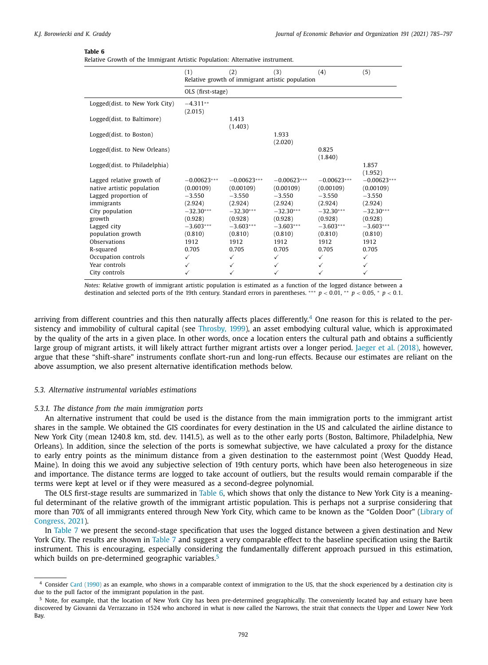Relative Growth of the Immigrant Artistic Population: Alternative instrument.

|                                                                                                                                           | (1)                                                                                        | (2)                                                                                        | (3)<br>Relative growth of immigrant artistic population                                    | (4)                                                                                        | (5)                                                                                        |  |  |  |
|-------------------------------------------------------------------------------------------------------------------------------------------|--------------------------------------------------------------------------------------------|--------------------------------------------------------------------------------------------|--------------------------------------------------------------------------------------------|--------------------------------------------------------------------------------------------|--------------------------------------------------------------------------------------------|--|--|--|
|                                                                                                                                           | OLS (first-stage)                                                                          |                                                                                            |                                                                                            |                                                                                            |                                                                                            |  |  |  |
| Logged(dist. to New York City)                                                                                                            | $-4.311**$<br>(2.015)                                                                      |                                                                                            |                                                                                            |                                                                                            |                                                                                            |  |  |  |
| Logged(dist. to Baltimore)                                                                                                                |                                                                                            | 1.413<br>(1.403)                                                                           |                                                                                            |                                                                                            |                                                                                            |  |  |  |
| Logged(dist. to Boston)                                                                                                                   |                                                                                            |                                                                                            | 1.933<br>(2.020)                                                                           |                                                                                            |                                                                                            |  |  |  |
| Logged(dist. to New Orleans)                                                                                                              |                                                                                            |                                                                                            |                                                                                            | 0.825<br>(1.840)                                                                           |                                                                                            |  |  |  |
| Logged(dist. to Philadelphia)                                                                                                             |                                                                                            |                                                                                            |                                                                                            |                                                                                            | 1.857<br>(1.952)                                                                           |  |  |  |
| Lagged relative growth of<br>native artistic population<br>Lagged proportion of<br>immigrants<br>City population<br>growth<br>Lagged city | $-0.00623***$<br>(0.00109)<br>$-3.550$<br>(2.924)<br>$-32.30***$<br>(0.928)<br>$-3.603***$ | $-0.00623***$<br>(0.00109)<br>$-3.550$<br>(2.924)<br>$-32.30***$<br>(0.928)<br>$-3.603***$ | $-0.00623***$<br>(0.00109)<br>$-3.550$<br>(2.924)<br>$-32.30***$<br>(0.928)<br>$-3.603***$ | $-0.00623***$<br>(0.00109)<br>$-3.550$<br>(2.924)<br>$-32.30***$<br>(0.928)<br>$-3.603***$ | $-0.00623***$<br>(0.00109)<br>$-3.550$<br>(2.924)<br>$-32.30***$<br>(0.928)<br>$-3.603***$ |  |  |  |
| population growth<br>Observations                                                                                                         | (0.810)<br>1912                                                                            | (0.810)<br>1912                                                                            | (0.810)<br>1912                                                                            | (0.810)<br>1912                                                                            | (0.810)<br>1912                                                                            |  |  |  |
| R-squared<br>Occupation controls                                                                                                          | 0.705<br>$\checkmark$                                                                      | 0.705<br>$\checkmark$                                                                      | 0.705<br>$\checkmark$                                                                      | 0.705<br>$\checkmark$                                                                      | 0.705<br>$\checkmark$                                                                      |  |  |  |
| Year controls<br>City controls                                                                                                            | $\checkmark$<br>✓                                                                          | ✓<br>✓                                                                                     | $\checkmark$<br>✓                                                                          | ✓<br>✓                                                                                     | ✓<br>$\checkmark$                                                                          |  |  |  |

*Notes:* Relative growth of immigrant artistic population is estimated as a function of the logged distance between a destination and selected ports of the 19th century. Standard errors in parentheses. ∗∗∗ *p* < 0.01, ∗ ∗ *p* < 0.05, <sup>∗</sup> *p* < 0.1.

arriving from different countries and this then naturally affects places differently.<sup>4</sup> One reason for this is related to the persistency and immobility of cultural capital (see [Throsby,](#page-12-0) 1999), an asset embodying cultural value, which is approximated by the quality of the arts in a given place. In other words, once a location enters the cultural path and obtains a sufficiently large group of migrant artists, it will likely attract further migrant artists over a longer period. Jaeger et al. [\(2018\),](#page-12-0) however, argue that these "shift-share" instruments conflate short-run and long-run effects. Because our estimates are reliant on the above assumption, we also present alternative identification methods below.

#### *5.3. Alternative instrumental variables estimations*

#### *5.3.1. The distance from the main immigration ports*

An alternative instrument that could be used is the distance from the main immigration ports to the immigrant artist shares in the sample. We obtained the GIS coordinates for every destination in the US and calculated the airline distance to New York City (mean 1240.8 km, std. dev. 1141.5), as well as to the other early ports (Boston, Baltimore, Philadelphia, New Orleans). In addition, since the selection of the ports is somewhat subjective, we have calculated a proxy for the distance to early entry points as the minimum distance from a given destination to the easternmost point (West Quoddy Head, Maine). In doing this we avoid any subjective selection of 19th century ports, which have been also heterogeneous in size and importance. The distance terms are logged to take account of outliers, but the results would remain comparable if the terms were kept at level or if they were measured as a second-degree polynomial.

The OLS first-stage results are summarized in Table 6, which shows that only the distance to New York City is a meaningful determinant of the relative growth of the immigrant artistic population. This is perhaps not a surprise considering that more than 70% of all immigrants entered through New York City, which came to be known as the "Golden [Door" \(Library](#page-12-0) of Congress, 2021).

In [Table](#page-8-0) 7 we present the second-stage specification that uses the logged distance between a given destination and New York City. The results are shown in [Table](#page-8-0) 7 and suggest a very comparable effect to the baseline specification using the Bartik instrument. This is encouraging, especially considering the fundamentally different approach pursued in this estimation, which builds on pre-determined geographic variables.<sup>5</sup>

<sup>4</sup> Consider Card [\(1990\)](#page-12-0) as an example, who shows in a comparable context of immigration to the US, that the shock experienced by a destination city is due to the pull factor of the immigrant population in the past.

<sup>&</sup>lt;sup>5</sup> Note, for example, that the location of New York City has been pre-determined geographically. The conveniently located bay and estuary have been discovered by Giovanni da Verrazzano in 1524 who anchored in what is now called the Narrows, the strait that connects the Upper and Lower New York Bay.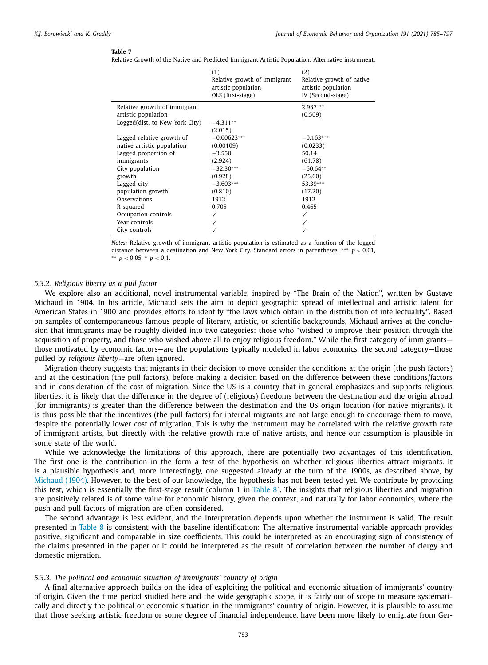<span id="page-8-0"></span>

| Relative Growth of the Native and Predicted Immigrant Artistic Population: Alternative instrument. |  |  |  |  |
|----------------------------------------------------------------------------------------------------|--|--|--|--|
|                                                                                                    |  |  |  |  |

|                                                                                       | (1)<br>Relative growth of immigrant<br>artistic population<br>OLS (first-stage) | (2)<br>Relative growth of native<br>artistic population<br>IV (Second-stage) |
|---------------------------------------------------------------------------------------|---------------------------------------------------------------------------------|------------------------------------------------------------------------------|
| Relative growth of immigrant<br>artistic population<br>Logged(dist, to New York City) | $-4.311**$<br>(2.015)                                                           | $2.937***$<br>(0.509)                                                        |
| Lagged relative growth of                                                             | $-0.00623***$                                                                   | $-0.163***$                                                                  |
| native artistic population                                                            | (0.00109)                                                                       | (0.0233)                                                                     |
| Lagged proportion of                                                                  | $-3.550$                                                                        | 50.14                                                                        |
| immigrants                                                                            | (2.924)                                                                         | (61.78)                                                                      |
| City population                                                                       | $-32.30***$                                                                     | $-60.64**$                                                                   |
| growth                                                                                | (0.928)                                                                         | (25.60)                                                                      |
| Lagged city                                                                           | $-3.603***$                                                                     | 53.39***                                                                     |
| population growth                                                                     | (0.810)                                                                         | (17.20)                                                                      |
| Observations                                                                          | 1912                                                                            | 1912                                                                         |
| R-squared                                                                             | 0.705                                                                           | 0.465                                                                        |
| Occupation controls                                                                   | ✓                                                                               | ✓                                                                            |
| Year controls                                                                         | ✓                                                                               | ✓                                                                            |
| City controls                                                                         | ✓                                                                               |                                                                              |

*Notes:* Relative growth of immigrant artistic population is estimated as a function of the logged distance between a destination and New York City. Standard errors in parentheses. ∗∗∗ *p* < 0.01,

∗ ∗ *p* < 0.05, <sup>∗</sup> *p* < 0.1.

#### *5.3.2. Religious liberty as a pull factor*

We explore also an additional, novel instrumental variable, inspired by "The Brain of the Nation", written by Gustave Michaud in 1904. In his article, Michaud sets the aim to depict geographic spread of intellectual and artistic talent for American States in 1900 and provides efforts to identify "the laws which obtain in the distribution of intellectuality". Based on samples of contemporaneous famous people of literary, artistic, or scientific backgrounds, Michaud arrives at the conclusion that immigrants may be roughly divided into two categories: those who "wished to improve their position through the acquisition of property, and those who wished above all to enjoy religious freedom." While the first category of immigrants those motivated by economic factors—are the populations typically modeled in labor economics, the second category—those pulled by *religious liberty*—are often ignored.

Migration theory suggests that migrants in their decision to move consider the conditions at the origin (the push factors) and at the destination (the pull factors), before making a decision based on the difference between these conditions/factors and in consideration of the cost of migration. Since the US is a country that in general emphasizes and supports religious liberties, it is likely that the difference in the degree of (religious) freedoms between the destination and the origin abroad (for immigrants) is greater than the difference between the destination and the US origin location (for native migrants). It is thus possible that the incentives (the pull factors) for internal migrants are not large enough to encourage them to move, despite the potentially lower cost of migration. This is why the instrument may be correlated with the relative growth rate of immigrant artists, but directly with the relative growth rate of native artists, and hence our assumption is plausible in some state of the world.

While we acknowledge the limitations of this approach, there are potentially two advantages of this identification. The first one is the contribution in the form a test of the hypothesis on whether religious liberties attract migrants. It is a plausible hypothesis and, more interestingly, one suggested already at the turn of the 1900s, as described above, by [Michaud](#page-12-0) (1904). However, to the best of our knowledge, the hypothesis has not been tested yet. We contribute by providing this test, which is essentially the first-stage result (column 1 in [Table](#page-9-0) 8). The insights that religious liberties and migration are positively related is of some value for economic history, given the context, and naturally for labor economics, where the push and pull factors of migration are often considered.

The second advantage is less evident, and the interpretation depends upon whether the instrument is valid. The result presented in [Table](#page-9-0) 8 is consistent with the baseline identification: The alternative instrumental variable approach provides positive, significant and comparable in size coefficients. This could be interpreted as an encouraging sign of consistency of the claims presented in the paper or it could be interpreted as the result of correlation between the number of clergy and domestic migration.

#### *5.3.3. The political and economic situation of immigrants' country of origin*

A final alternative approach builds on the idea of exploiting the political and economic situation of immigrants' country of origin. Given the time period studied here and the wide geographic scope, it is fairly out of scope to measure systematically and directly the political or economic situation in the immigrants' country of origin. However, it is plausible to assume that those seeking artistic freedom or some degree of financial independence, have been more likely to emigrate from Ger-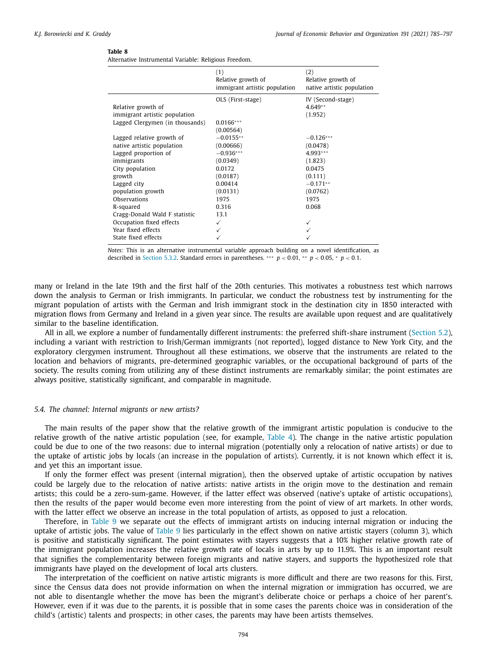<span id="page-9-0"></span>Alternative Instrumental Variable: Religious Freedom.

|                                                                                                                                                                                                                                                                                                                                                    | (1)<br>Relative growth of<br>immigrant artistic population                                                                                                                      | (2)<br>Relative growth of<br>native artistic population                                                                                                      |
|----------------------------------------------------------------------------------------------------------------------------------------------------------------------------------------------------------------------------------------------------------------------------------------------------------------------------------------------------|---------------------------------------------------------------------------------------------------------------------------------------------------------------------------------|--------------------------------------------------------------------------------------------------------------------------------------------------------------|
| Relative growth of<br>immigrant artistic population<br>Lagged Clergymen (in thousands)<br>Lagged relative growth of<br>native artistic population<br>Lagged proportion of<br>immigrants<br>City population<br>growth<br>Lagged city<br>population growth<br>Observations<br>R-squared<br>Cragg-Donald Wald F statistic<br>Occupation fixed effects | OLS (First-stage)<br>$0.0166***$<br>(0.00564)<br>$-0.0155**$<br>(0.00666)<br>$-0.936***$<br>(0.0349)<br>0.0172<br>(0.0187)<br>0.00414<br>(0.0131)<br>1975<br>0.316<br>13.1<br>✓ | IV (Second-stage)<br>$4.649**$<br>(1.952)<br>$-0.126***$<br>(0.0478)<br>4.993 ***<br>(1.823)<br>0.0475<br>(0.111)<br>$-0.171**$<br>(0.0762)<br>1975<br>0.068 |
| Year fixed effects<br>State fixed effects                                                                                                                                                                                                                                                                                                          |                                                                                                                                                                                 |                                                                                                                                                              |

*Notes:* This is an alternative instrumental variable approach building on a novel identification, as described in [Section](#page-8-0) 5.3.2. Standard errors in parentheses. \*\*\* *p* < 0.01, \*\* *p* < 0.05, \* *p* < 0.1.

many or Ireland in the late 19th and the first half of the 20th centuries. This motivates a robustness test which narrows down the analysis to German or Irish immigrants. In particular, we conduct the robustness test by instrumenting for the migrant population of artists with the German and Irish immigrant stock in the destination city in 1850 interacted with migration flows from Germany and Ireland in a given year since. The results are available upon request and are qualitatively similar to the baseline identification.

All in all, we explore a number of fundamentally different instruments: the preferred shift-share instrument [\(Section](#page-6-0) 5.2), including a variant with restriction to Irish/German immigrants (not reported), logged distance to New York City, and the exploratory clergymen instrument. Throughout all these estimations, we observe that the instruments are related to the location and behaviors of migrants, pre-determined geographic variables, or the occupational background of parts of the society. The results coming from utilizing any of these distinct instruments are remarkably similar; the point estimates are always positive, statistically significant, and comparable in magnitude.

#### *5.4. The channel: Internal migrants or new artists?*

The main results of the paper show that the relative growth of the immigrant artistic population is conducive to the relative growth of the native artistic population (see, for example, [Table](#page-6-0) 4). The change in the native artistic population could be due to one of the two reasons: due to internal migration (potentially only a relocation of native artists) or due to the uptake of artistic jobs by locals (an increase in the population of artists). Currently, it is not known which effect it is, and yet this an important issue.

If only the former effect was present (internal migration), then the observed uptake of artistic occupation by natives could be largely due to the relocation of native artists: native artists in the origin move to the destination and remain artists; this could be a zero-sum-game. However, if the latter effect was observed (native's uptake of artistic occupations), then the results of the paper would become even more interesting from the point of view of art markets. In other words, with the latter effect we observe an increase in the total population of artists, as opposed to just a relocation.

Therefore, in [Table](#page-10-0) 9 we separate out the effects of immigrant artists on inducing internal migration or inducing the uptake of artistic jobs. The value of [Table](#page-10-0) 9 lies particularly in the effect shown on native artistic stayers (column 3), which is positive and statistically significant. The point estimates with stayers suggests that a 10% higher relative growth rate of the immigrant population increases the relative growth rate of locals in arts by up to 11.9%. This is an important result that signifies the complementarity between foreign migrants and native stayers, and supports the hypothesized role that immigrants have played on the development of local arts clusters.

The interpretation of the coefficient on native artistic migrants is more difficult and there are two reasons for this. First, since the Census data does not provide information on when the internal migration or immigration has occurred, we are not able to disentangle whether the move has been the migrant's deliberate choice or perhaps a choice of her parent's. However, even if it was due to the parents, it is possible that in some cases the parents choice was in consideration of the child's (artistic) talents and prospects; in other cases, the parents may have been artists themselves.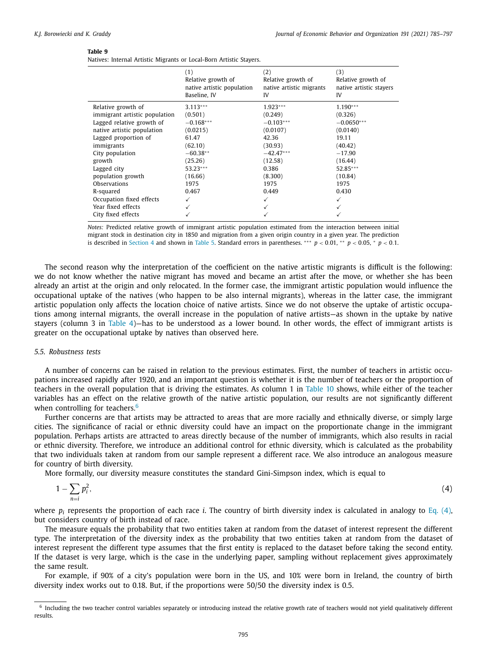<span id="page-10-0"></span>Natives: Internal Artistic Migrants or Local-Born Artistic Stayers.

|                               | (1)<br>Relative growth of<br>native artistic population<br>Baseline, IV | (2)<br>Relative growth of<br>native artistic migrants<br>IV | (3)<br>Relative growth of<br>native artistic stayers<br>IV |
|-------------------------------|-------------------------------------------------------------------------|-------------------------------------------------------------|------------------------------------------------------------|
| Relative growth of            | $3.113***$                                                              | $1.923***$                                                  | $1.190***$                                                 |
| immigrant artistic population | (0.501)                                                                 | (0.249)                                                     | (0.326)                                                    |
| Lagged relative growth of     | $-0.168***$                                                             | $-0.103***$                                                 | $-0.0650***$                                               |
| native artistic population    | (0.0215)                                                                | (0.0107)                                                    | (0.0140)                                                   |
| Lagged proportion of          | 61.47                                                                   | 42.36                                                       | 19.11                                                      |
| immigrants                    | (62.10)                                                                 | (30.93)                                                     | (40.42)                                                    |
| City population               | $-60.38**$                                                              | $-42.47***$                                                 | $-17.90$                                                   |
| growth                        | (25.26)                                                                 | (12.58)                                                     | (16.44)                                                    |
| Lagged city                   | $53.23***$                                                              | 0.386                                                       | 52.85***                                                   |
| population growth             | (16.66)                                                                 | (8.300)                                                     | (10.84)                                                    |
| <b>Observations</b>           | 1975                                                                    | 1975                                                        | 1975                                                       |
| R-squared                     | 0.467                                                                   | 0.449                                                       | 0.430                                                      |
| Occupation fixed effects      |                                                                         | ✓                                                           | ✓                                                          |
| Year fixed effects            |                                                                         |                                                             |                                                            |
| City fixed effects            |                                                                         |                                                             |                                                            |

*Notes:* Predicted relative growth of immigrant artistic population estimated from the interaction between initial migrant stock in destination city in 1850 and migration from a given origin country in a given year. The prediction is described in [Section](#page-3-0) 4 and shown in [Table](#page-6-0) 5. Standard errors in parentheses. ∗∗∗ *p* < 0.01, ∗ ∗ *p* < 0.05, <sup>∗</sup> *p* < 0.1.

The second reason why the interpretation of the coefficient on the native artistic migrants is difficult is the following: we do not know whether the native migrant has moved and became an artist after the move, or whether she has been already an artist at the origin and only relocated. In the former case, the immigrant artistic population would influence the occupational uptake of the natives (who happen to be also internal migrants), whereas in the latter case, the immigrant artistic population only affects the location choice of native artists. Since we do not observe the uptake of artistic occupations among internal migrants, the overall increase in the population of native artists—as shown in the uptake by native stayers (column 3 in [Table](#page-6-0) 4)—has to be understood as a lower bound. In other words, the effect of immigrant artists is greater on the occupational uptake by natives than observed here.

#### *5.5. Robustness tests*

A number of concerns can be raised in relation to the previous estimates. First, the number of teachers in artistic occupations increased rapidly after 1920, and an important question is whether it is the number of teachers or the proportion of teachers in the overall population that is driving the estimates. As column 1 in [Table](#page-11-0) 10 shows, while either of the teacher variables has an effect on the relative growth of the native artistic population, our results are not significantly different when controlling for teachers. $6$ 

Further concerns are that artists may be attracted to areas that are more racially and ethnically diverse, or simply large cities. The significance of racial or ethnic diversity could have an impact on the proportionate change in the immigrant population. Perhaps artists are attracted to areas directly because of the number of immigrants, which also results in racial or ethnic diversity. Therefore, we introduce an additional control for ethnic diversity, which is calculated as the probability that two individuals taken at random from our sample represent a different race. We also introduce an analogous measure for country of birth diversity.

More formally, our diversity measure constitutes the standard Gini-Simpson index, which is equal to

$$
1 - \sum_{n=i} p_i^2,\tag{4}
$$

where  $p_i$  represents the proportion of each race *i*. The country of birth diversity index is calculated in analogy to Eq. (4), but considers country of birth instead of race.

The measure equals the probability that two entities taken at random from the dataset of interest represent the different type. The interpretation of the diversity index as the probability that two entities taken at random from the dataset of interest represent the different type assumes that the first entity is replaced to the dataset before taking the second entity. If the dataset is very large, which is the case in the underlying paper, sampling without replacement gives approximately the same result.

For example, if 90% of a city's population were born in the US, and 10% were born in Ireland, the country of birth diversity index works out to 0.18. But, if the proportions were 50/50 the diversity index is 0.5.

 $6$  Including the two teacher control variables separately or introducing instead the relative growth rate of teachers would not yield qualitatively different results.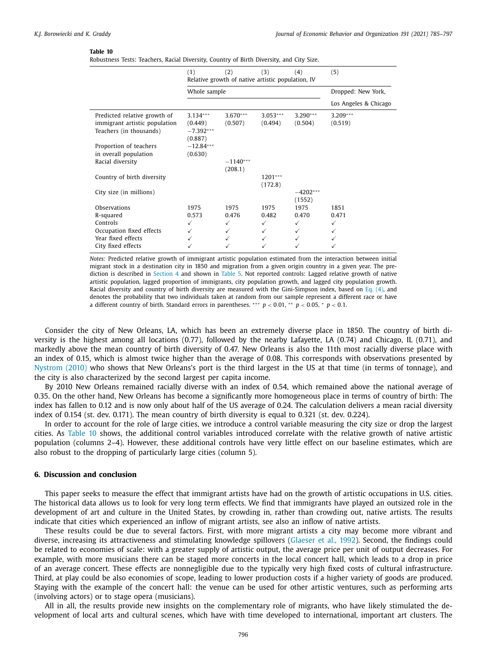<span id="page-11-0"></span>Robustness Tests: Teachers, Racial Diversity, Country of Birth Diversity, and City Size.

|                                                                                                               | (1)                                             | (2)<br>Relative growth of native artistic population, IV | (3)                     | (4)                     | (5)                   |
|---------------------------------------------------------------------------------------------------------------|-------------------------------------------------|----------------------------------------------------------|-------------------------|-------------------------|-----------------------|
|                                                                                                               | Whole sample                                    |                                                          |                         |                         | Dropped: New York,    |
|                                                                                                               |                                                 |                                                          |                         |                         | Los Angeles & Chicago |
| Predicted relative growth of<br>immigrant artistic population<br>Teachers (in thousands)                      | $3.134***$<br>(0.449)<br>$-7.392***$<br>(0.887) | $3.670***$<br>(0.507)                                    | $3.053***$<br>(0.494)   | $3.290***$<br>(0.504)   | $3.209***$<br>(0.519) |
| Proportion of teachers<br>in overall population<br>Racial diversity                                           | $-12.84***$<br>(0.630)                          | $-1140***$                                               |                         |                         |                       |
| Country of birth diversity                                                                                    |                                                 | (208.1)                                                  | $1201***$<br>(172.8)    |                         |                       |
| City size (in millions)                                                                                       |                                                 |                                                          |                         | $-4202***$<br>(1552)    |                       |
| Observations<br>R-squared<br>Controls<br>Occupation fixed effects<br>Year fixed effects<br>City fixed effects | 1975<br>0.573<br>✓<br>✓                         | 1975<br>0.476<br>✓                                       | 1975<br>0.482<br>✓<br>✓ | 1975<br>0.470<br>✓<br>✓ | 1851<br>0.471<br>✓    |

*Notes:* Predicted relative growth of immigrant artistic population estimated from the interaction between initial migrant stock in a destination city in 1850 and migration from a given origin country in a given year. The prediction is described in [Section](#page-3-0) 4 and shown in [Table](#page-6-0) 5. Not reported controls: Lagged relative growth of native artistic population, lagged proportion of immigrants, city population growth, and lagged city population growth. Racial diversity and country of birth diversity are measured with the Gini-Simpson index, based on Eq. [\(4\),](#page-10-0) and denotes the probability that two individuals taken at random from our sample represent a different race or have a different country of birth. Standard errors in parentheses. ∗∗∗ *p* < 0.01, ∗ ∗ *p* < 0.05, <sup>∗</sup> *p* < 0.1.

Consider the city of New Orleans, LA, which has been an extremely diverse place in 1850. The country of birth diversity is the highest among all locations (0.77), followed by the nearby Lafayette, LA (0.74) and Chicago, IL (0.71), and markedly above the mean country of birth diversity of 0.47. New Orleans is also the 11th most racially diverse place with an index of 0.15, which is almost twice higher than the average of 0.08. This corresponds with observations presented by [Nystrom](#page-12-0) (2010) who shows that New Orleans's port is the third largest in the US at that time (in terms of tonnage), and the city is also characterized by the second largest per capita income.

By 2010 New Orleans remained racially diverse with an index of 0.54, which remained above the national average of 0.35. On the other hand, New Orleans has become a significantly more homogeneous place in terms of country of birth: The index has fallen to 0.12 and is now only about half of the US average of 0.24. The calculation delivers a mean racial diversity index of 0.154 (st. dev. 0.171). The mean country of birth diversity is equal to 0.321 (st. dev. 0.224).

In order to account for the role of large cities, we introduce a control variable measuring the city size or drop the largest cities. As Table 10 shows, the additional control variables introduced correlate with the relative growth of native artistic population (columns 2–4). However, these additional controls have very little effect on our baseline estimates, which are also robust to the dropping of particularly large cities (column 5).

### **6. Discussion and conclusion**

This paper seeks to measure the effect that immigrant artists have had on the growth of artistic occupations in U.S. cities. The historical data allows us to look for very long term effects. We find that immigrants have played an outsized role in the development of art and culture in the United States, by crowding in, rather than crowding out, native artists. The results indicate that cities which experienced an inflow of migrant artists, see also an inflow of native artists.

These results could be due to several factors. First, with more migrant artists a city may become more vibrant and diverse, increasing its attractiveness and stimulating knowledge spillovers [\(Glaeser](#page-12-0) et al., 1992). Second, the findings could be related to economies of scale: with a greater supply of artistic output, the average price per unit of output decreases. For example, with more musicians there can be staged more concerts in the local concert hall, which leads to a drop in price of an average concert. These effects are nonnegligible due to the typically very high fixed costs of cultural infrastructure. Third, at play could be also economies of scope, leading to lower production costs if a higher variety of goods are produced. Staying with the example of the concert hall: the venue can be used for other artistic ventures, such as performing arts (involving actors) or to stage opera (musicians).

All in all, the results provide new insights on the complementary role of migrants, who have likely stimulated the development of local arts and cultural scenes, which have with time developed to international, important art clusters. The